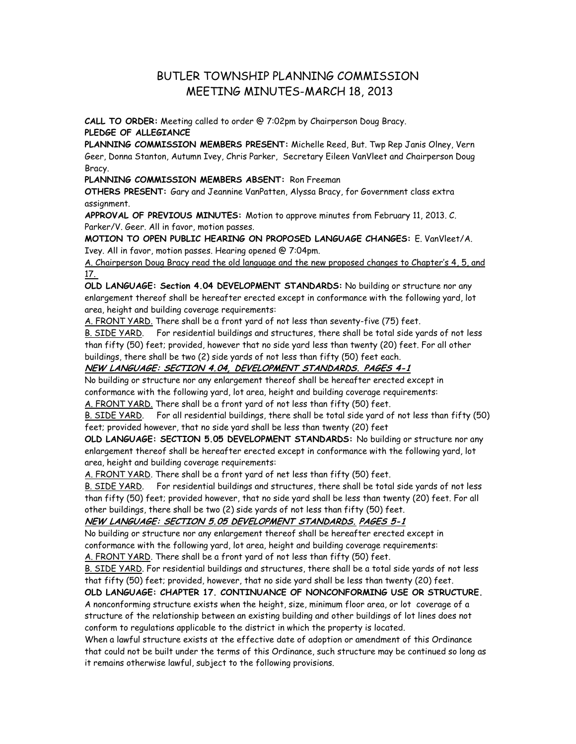# BUTLER TOWNSHIP PLANNING COMMISSION MEETING MINUTES-MARCH 18, 2013

**CALL TO ORDER:** Meeting called to order @ 7:02pm by Chairperson Doug Bracy. **PLEDGE OF ALLEGIANCE**

**PLANNING COMMISSION MEMBERS PRESENT:** Michelle Reed, But. Twp Rep Janis Olney, Vern Geer, Donna Stanton, Autumn Ivey, Chris Parker, Secretary Eileen VanVleet and Chairperson Doug Bracy.

**PLANNING COMMISSION MEMBERS ABSENT:** Ron Freeman

**OTHERS PRESENT:** Gary and Jeannine VanPatten, Alyssa Bracy, for Government class extra assignment.

**APPROVAL OF PREVIOUS MINUTES:** Motion to approve minutes from February 11, 2013. C. Parker/V. Geer. All in favor, motion passes.

**MOTION TO OPEN PUBLIC HEARING ON PROPOSED LANGUAGE CHANGES:** E. VanVleet/A. Ivey. All in favor, motion passes. Hearing opened @ 7:04pm.

A. Chairperson Doug Bracy read the old language and the new proposed changes to Chapter's 4, 5, and 17.

**OLD LANGUAGE: Section 4.04 DEVELOPMENT STANDARDS:** No building or structure nor any enlargement thereof shall be hereafter erected except in conformance with the following yard, lot area, height and building coverage requirements:

A. FRONT YARD. There shall be a front yard of not less than seventy-five (75) feet.

B. SIDE YARD. For residential buildings and structures, there shall be total side yards of not less than fifty (50) feet; provided, however that no side yard less than twenty (20) feet. For all other buildings, there shall be two (2) side yards of not less than fifty (50) feet each.

## **NEW LANGUAGE: SECTION 4.04, DEVELOPMENT STANDARDS. PAGES 4-1**

No building or structure nor any enlargement thereof shall be hereafter erected except in conformance with the following yard, lot area, height and building coverage requirements: A. FRONT YARD. There shall be a front yard of not less than fifty (50) feet.

B. SIDE YARD. For all residential buildings, there shall be total side yard of not less than fifty (50) feet; provided however, that no side yard shall be less than twenty (20) feet

**OLD LANGUAGE: SECTION 5.05 DEVELOPMENT STANDARDS:** No building or structure nor any enlargement thereof shall be hereafter erected except in conformance with the following yard, lot area, height and building coverage requirements:

A. FRONT YARD. There shall be a front yard of net less than fifty (50) feet.

B. SIDE YARD. For residential buildings and structures, there shall be total side yards of not less than fifty (50) feet; provided however, that no side yard shall be less than twenty (20) feet. For all other buildings, there shall be two (2) side yards of not less than fifty (50) feet.

# **NEW LANGUAGE: SECTION 5.05 DEVELOPMENT STANDARDS. PAGES 5-1**

No building or structure nor any enlargement thereof shall be hereafter erected except in conformance with the following yard, lot area, height and building coverage requirements:

A. FRONT YARD. There shall be a front yard of not less than fifty (50) feet.

B. SIDE YARD. For residential buildings and structures, there shall be a total side yards of not less that fifty (50) feet; provided, however, that no side yard shall be less than twenty (20) feet.

#### **OLD LANGUAGE: CHAPTER 17. CONTINUANCE OF NONCONFORMING USE OR STRUCTURE.**

A nonconforming structure exists when the height, size, minimum floor area, or lot coverage of a structure of the relationship between an existing building and other buildings of lot lines does not conform to regulations applicable to the district in which the property is located.

When a lawful structure exists at the effective date of adoption or amendment of this Ordinance that could not be built under the terms of this Ordinance, such structure may be continued so long as it remains otherwise lawful, subject to the following provisions.